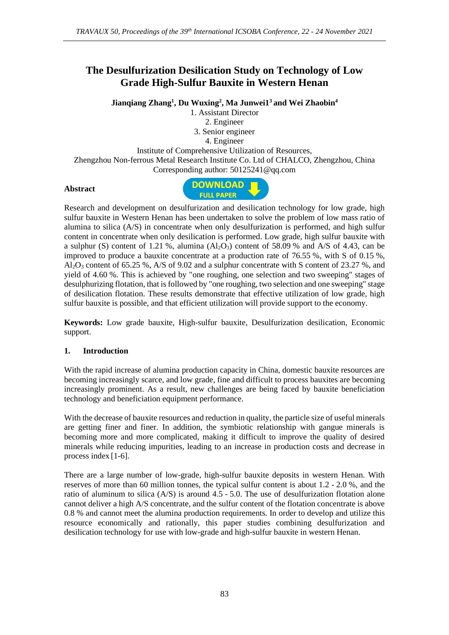# **The Desulfurization Desilication Study on Technology of Low Grade High-Sulfur Bauxite in Western Henan**

**Jianqiang Zhang<sup>1</sup> , Du Wuxing<sup>2</sup> , Ma Junwei1<sup>3</sup>and Wei Zhaobin<sup>4</sup>**

1. Assistant Director 2. Engineer 3. Senior engineer 4. Engineer Institute of Comprehensive Utilization of Resources, Zhengzhou Non-ferrous Metal Research Institute Co. Ltd of CHALCO, Zhengzhou, China Corresponding author: 50125241@qq.com

# **Abstract**



Research and development on desulfurization and desilication technology for low grade, high sulfur bauxite in Western Henan has been undertaken to solve the problem of low mass ratio of alumina to silica (A/S) in concentrate when only desulfurization is performed, and high sulfur content in concentrate when only desilication is performed. Low grade, high sulfur bauxite with a sulphur (S) content of 1.21 %, alumina  $(A<sub>1</sub>, O<sub>3</sub>)$  content of 58.09 % and A/S of 4.43, can be improved to produce a bauxite concentrate at a production rate of 76.55 %, with S of 0.15 %, Al2O<sup>3</sup> content of 65.25 %, A/S of 9.02 and a sulphur concentrate with S content of 23.27 %, and yield of 4.60 %. This is achieved by "one roughing, one selection and two sweeping" stages of desulphurizing flotation, that is followed by "one roughing, two selection and one sweeping" stage of desilication flotation. These results demonstrate that effective utilization of low grade, high sulfur bauxite is possible, and that efficient utilization will provide support to the economy.

**Keywords:** [Low grade](https://dict.cnki.net/dict_result.aspx?scw=%e4%b8%ad%e4%bd%8e%e5%93%81%e4%bd%8d&tjType=sentence&style=&t=middle-low+grade) bauxite, [High-sulfur bauxite,](https://dict.cnki.net/dict_result.aspx?scw=%e9%ab%98%e7%a1%ab%e9%93%9d%e5%9c%9f%e7%9f%bf&tjType=sentence&style=&t=high-sulfur+bauxite) [Desulfurization](https://dict.cnki.net/dict_result.aspx?scw=%e8%84%b1%e7%a1%ab&tjType=sentence&style=&t=desulfurization) [desilication,](https://dict.cnki.net/dict_result.aspx?scw=%e8%84%b1%e7%a1%85&tjType=sentence&style=&t=desilication) [Economic](https://dict.cnki.net/dict_result.aspx?scw=%e7%bb%8f%e6%b5%8e&tjType=sentence&style=&t=economic) support.

# **1. Introduction**

With the rapid increase of alumina production capacity in China, domestic bauxite resources are becoming increasingly scarce, and low grade, fine and difficult to process bauxites are becoming increasingly prominent. As a result, new challenges are being faced by bauxite beneficiation technology and beneficiation equipment performance.

With the decrease of bauxite resources and reduction in quality, the particle size of useful minerals are getting finer and finer. In addition, the symbiotic relationship with gangue minerals is becoming more and more complicated, making it difficult to improve the quality of desired minerals while reducing impurities, leading to an increase in production costs and decrease in process index [1-6].

There are a large number of low-grade, high-sulfur bauxite deposits in western Henan. With reserves of more than 60 million tonnes, the typical sulfur content is about 1.2 - 2.0 %, and the ratio of aluminum to silica (A/S) is around 4.5 - 5.0. The use of desulfurization flotation alone cannot deliver a high A/S concentrate, and the sulfur content of the flotation concentrate is above 0.8 % and cannot meet the alumina production requirements. In order to develop and utilize this resource economically and rationally, this paper studies combining desulfurization and desilication technology for use with low-grade and high-sulfur bauxite in western Henan.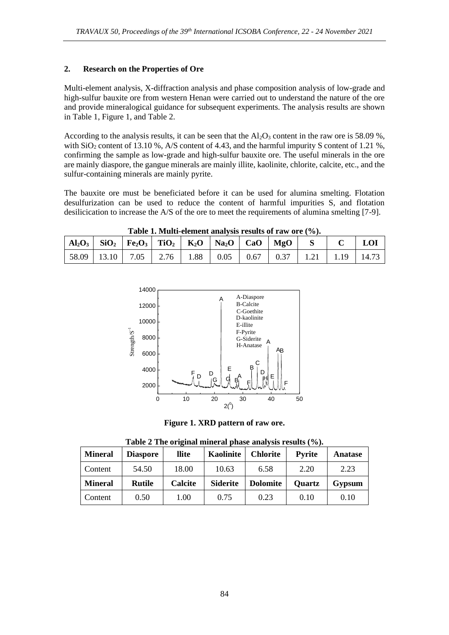#### **2. Research on the Properties of Ore**

Multi-element analysis, X-diffraction analysis and phase composition analysis of low-grade and high-sulfur bauxite ore from western Henan were carried out to understand the nature of the ore and provide mineralogical guidance for subsequent experiments. The analysis results are shown in Table 1, Figure 1, and Table 2.

According to the analysis results, it can be seen that the  $Al_2O_3$  content in the raw ore is 58.09 %, with  $SiO<sub>2</sub>$  content of 13.10 %, A/S content of 4.43, and the harmful impurity S content of 1.21 %, confirming the sample as low-grade and high-sulfur bauxite ore. The useful minerals in the ore are mainly diaspore, the gangue minerals are mainly illite, kaolinite, chlorite, calcite, etc., and the sulfur-containing minerals are mainly pyrite.

The bauxite ore must be beneficiated before it can be used for alumina smelting. Flotation desulfurization can be used to reduce the content of harmful impurities S, and flotation desilicication to increase the A/S of the ore to meet the requirements of alumina smelting [7-9].

**Table 1. Multi-element analysis results of raw ore (%).**

| $ $ Al <sub>2</sub> O <sub>3</sub> $ $ SiO <sub>2</sub> $ $ Fe <sub>2</sub> O <sub>3</sub> $ $ TiO <sub>2</sub> $ $ K <sub>2</sub> O $ $ Na <sub>2</sub> O $ $ CaO $ $ MgO $ $ S $ $ C $ $ LOI |  |  |  |  |  |
|------------------------------------------------------------------------------------------------------------------------------------------------------------------------------------------------|--|--|--|--|--|
| $\vert$ 58.09 $\vert$ 13.10 $\vert$ 7.05 $\vert$ 2.76 $\vert$ 1.88 $\vert$ 0.05 $\vert$ 0.67 $\vert$ 0.37 $\vert$ 1.21 $\vert$ 1.19 $\vert$ 14.73                                              |  |  |  |  |  |



**Figure 1. XRD pattern of raw ore.**

**Table 2 The original mineral phase analysis results (%).**

| <b>Mineral</b> | <b>Diaspore</b> | llite   | <b>Kaolinite</b> | <b>Chlorite</b> | <b>Pyrite</b> | Anatase |
|----------------|-----------------|---------|------------------|-----------------|---------------|---------|
| Content        | 54.50           | 18.00   | 10.63            | 6.58            | 2.20          | 2.23    |
| <b>Mineral</b> | <b>Rutile</b>   | Calcite | <b>Siderite</b>  | <b>Dolomite</b> | <b>Quartz</b> | Gypsum  |
| Content        | 0.50            | 1.00    | 0.75             | 0.23            | 0.10          | 0.10    |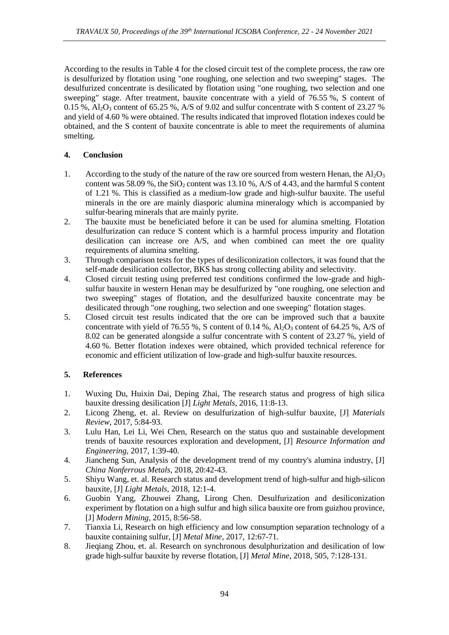According to the results in Table 4 for the closed circuit test of the complete process, the raw ore is desulfurized by flotation using "one roughing, one selection and two sweeping" stages. The desulfurized concentrate is desilicated by flotation using "one roughing, two selection and one sweeping" stage. After treatment, bauxite concentrate with a yield of 76.55 %, S content of  $0.15\%$ ,  $Al_2O_3$  content of 65.25 %, A/S of 9.02 and sulfur concentrate with S content of 23.27 % and yield of 4.60 % were obtained. The results indicated that improved flotation indexes could be obtained, and the S content of bauxite concentrate is able to meet the requirements of alumina smelting.

## **4. Conclusion**

- 1. According to the study of the nature of the raw ore sourced from western Henan, the  $Al_2O_3$ content was  $58.09\%$ , the SiO<sub>2</sub> content was 13.10 %, A/S of 4.43, and the harmful S content of 1.21 %. This is classified as a medium-low grade and high-sulfur bauxite. The useful minerals in the ore are mainly diasporic alumina mineralogy which is accompanied by sulfur-bearing minerals that are mainly pyrite.
- 2. The bauxite must be beneficiated before it can be used for alumina smelting. Flotation desulfurization can reduce S content which is a harmful process impurity and flotation desilication can increase ore A/S, and when combined can meet the ore quality requirements of alumina smelting.
- 3. Through comparison tests for the types of desiliconization collectors, it was found that the self-made desilication collector, BKS has strong collecting ability and selectivity.
- 4. Closed circuit testing using preferred test conditions confirmed the low-grade and highsulfur bauxite in western Henan may be desulfurized by "one roughing, one selection and two sweeping" stages of flotation, and the desulfurized bauxite concentrate may be desilicated through "one roughing, two selection and one sweeping" flotation stages.
- 5. Closed circuit test results indicated that the ore can be improved such that a bauxite concentrate with yield of 76.55 %, S content of 0.14 %,  $Al_2O_3$  content of 64.25 %, A/S of 8.02 can be generated alongside a sulfur concentrate with S content of 23.27 %, yield of 4.60 %. Better flotation indexes were obtained, which provided technical reference for economic and efficient utilization of low-grade and high-sulfur bauxite resources.

### **5. References**

- 1. Wuxing Du, Huixin Dai, Deping Zhai, The research status and progress of high silica bauxite dressing desilication [J] *Light Metals*, 2016, 11:8-13.
- 2. Licong Zheng, et. al. Review on desulfurization of high-sulfur bauxite, [J] *Materials Review*, 2017, 5:84-93.
- 3. Lulu Han, Lei Li, Wei Chen, Research on the status quo and sustainable development trends of bauxite resources exploration and development, [J] *Resource Information and Engineering*, 2017, 1:39-40.
- 4. Jiancheng Sun, Analysis of the development trend of my country's alumina industry, [J] *China Nonferrous Metals*, 2018, 20:42-43.
- 5. Shiyu Wang, et. al. Research status and development trend of high-sulfur and high-silicon bauxite, [J] *Light Metals*, 2018, 12:1-4.
- 6. Guobin Yang, Zhouwei Zhang, Lirong Chen. Desulfurization and desiliconization experiment by flotation on a high sulfur and high silica bauxite ore from guizhou province, [J] *Modern Mining*, 2015, 8:56-58.
- 7. Tianxia Li, Research on high efficiency and low consumption separation technology of a bauxite containing sulfur, [J] *Metal Mine*, 2017, 12:67-71.
- 8. Jieqiang Zhou, et. al. Research on synchronous desulphurization and desilication of low grade high-sulfur bauxite by reverse flotation, [J] *Metal Mine*, 2018, 505, 7:128-131.